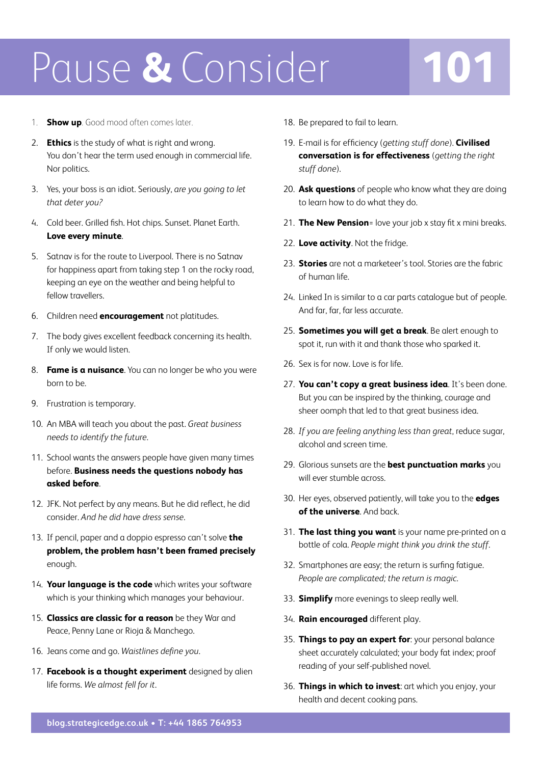## Pause **&** Consider **101**

- 1. **Show up**. Good mood often comes later.
- 2. **Ethics** is the study of what is right and wrong. You don't hear the term used enough in commercial life. Nor politics.
- 3. Yes, your boss is an idiot. Seriously, *are you going to let that deter you?*
- 4. Cold beer. Grilled fish. Hot chips. Sunset. Planet Earth. **Love every minute**.
- 5. Satnav is for the route to Liverpool. There is no Satnav for happiness apart from taking step 1 on the rocky road, keeping an eye on the weather and being helpful to fellow travellers.
- 6. Children need **encouragement** not platitudes.
- 7. The body gives excellent feedback concerning its health. If only we would listen.
- 8. **Fame is a nuisance**. You can no longer be who you were born to be.
- 9. Frustration is temporary.
- 10. An MBA will teach you about the past. *Great business needs to identify the future*.
- 11. School wants the answers people have given many times before. **Business needs the questions nobody has asked before**.
- 12. JFK. Not perfect by any means. But he did reflect, he did consider. *And he did have dress sense*.
- 13. If pencil, paper and a doppio espresso can't solve **the problem, the problem hasn't been framed precisely** enough.
- 14. **Your language is the code** which writes your software which is your thinking which manages your behaviour.
- 15. **Classics are classic for a reason** be they War and Peace, Penny Lane or Rioja & Manchego.
- 16. Jeans come and go. *Waistlines define you*.
- 17. **Facebook is a thought experiment** designed by alien life forms. *We almost fell for it*.
- 18. Be prepared to fail to learn.
- 19. E-mail is for efficiency (*getting stuff done*). **Civilised conversation is for effectiveness** (*getting the right stuff done*).
- 20. **Ask questions** of people who know what they are doing to learn how to do what they do.
- 21. **The New Pension**= love your job x stay fit x mini breaks.
- 22. **Love activity**. Not the fridge.
- 23. **Stories** are not a marketeer's tool. Stories are the fabric of human life.
- 24. Linked In is similar to a car parts catalogue but of people. And far, far, far less accurate.
- 25. **Sometimes you will get a break**. Be alert enough to spot it, run with it and thank those who sparked it.
- 26. Sex is for now. Love is for life.
- 27. **You can't copy a great business idea**. It's been done. But you can be inspired by the thinking, courage and sheer oomph that led to that great business idea.
- 28. *If you are feeling anything less than great*, reduce sugar, alcohol and screen time.
- 29. Glorious sunsets are the **best punctuation marks** you will ever stumble across.
- 30. Her eyes, observed patiently, will take you to the **edges of the universe**. And back.
- 31. **The last thing you want** is your name pre-printed on a bottle of cola. *People might think you drink the stuff*.
- 32. Smartphones are easy; the return is surfing fatigue. *People are complicated; the return is magic*.
- 33. **Simplify** more evenings to sleep really well.
- 34. **Rain encouraged** different play.
- 35. **Things to pay an expert for**: your personal balance sheet accurately calculated; your body fat index; proof reading of your self-published novel.
- 36. **Things in which to invest**: art which you enjoy, your health and decent cooking pans.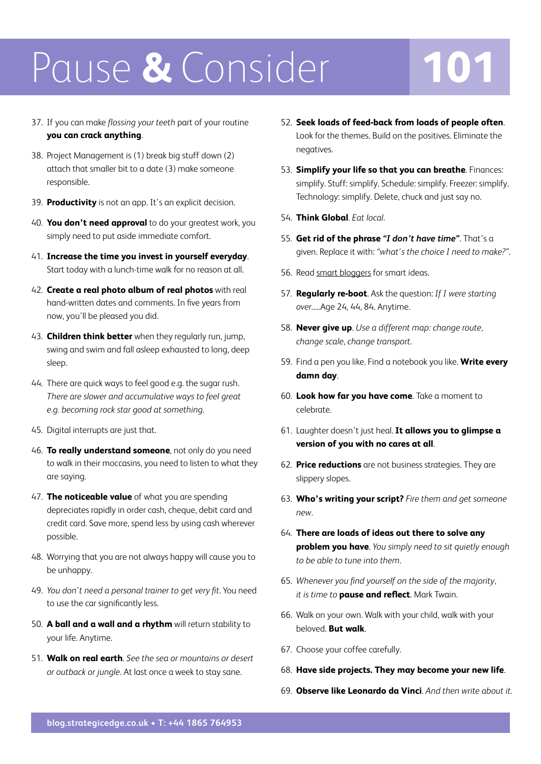## Pause **&** Consider **101**

- 37. If you can make *flossing your teeth* part of your routine **you can crack anything**.
- 38. Project Management is (1) break big stuff down (2) attach that smaller bit to a date (3) make someone responsible.
- 39. **Productivity** is not an app. It's an explicit decision.
- 40. **You don't need approval** to do your greatest work, you simply need to put aside immediate comfort.
- 41. **Increase the time you invest in yourself everyday**. Start today with a lunch-time walk for no reason at all.
- 42. **Create a real photo album of real photos** with real hand-written dates and comments. In five years from now, you'll be pleased you did.
- 43. **Children think better** when they regularly run, jump, swing and swim and fall asleep exhausted to long, deep sleep.
- 44. There are quick ways to feel good e.g. the sugar rush. *There are slower and accumulative ways to feel great e.g. becoming rock star good at something*.
- 45. Digital interrupts are just that.
- 46. **To really understand someone**, not only do you need to walk in their moccasins, you need to listen to what they are saying.
- 47. **The noticeable value** of what you are spending depreciates rapidly in order cash, cheque, debit card and credit card. Save more, spend less by using cash wherever possible.
- 48. Worrying that you are not always happy will cause you to be unhappy.
- 49. *You don't need a personal trainer to get very fit*. You need to use the car significantly less.
- 50. **A ball and a wall and a rhythm** will return stability to your life. Anytime.
- 51. **Walk on real earth**. *See the sea or mountains or desert or outback or jungle*. At last once a week to stay sane.
- 52. **Seek loads of feed-back from loads of people often**. Look for the themes. Build on the positives. Eliminate the negatives.
- 53. **Simplify your life so that you can breathe**. Finances: simplify. Stuff: simplify. Schedule: simplify. Freezer: simplify. Technology: simplify. Delete, chuck and just say no.
- 54. **Think Global**. *Eat local*.
- 55. **Get rid of the phrase** *"I don't have time"*. That's a given. Replace it with: *"what's the choice I need to make?"*.
- 56. Read [smart bloggers f](http://25blogs.matthewlang.co.uk/)or smart ideas.
- 57. **Regularly re-boot**. Ask the question: *If I were starting over*.....Age 24, 44, 84. Anytime.
- 58. **Never give up**. *Use a different map: change route, change scale, change transport*.
- 59. Find a pen you like. Find a notebook you like. **Write every damn day**.
- 60. **Look how far you have come**. Take a moment to celebrate.
- 61. Laughter doesn't just heal. It allows you to glimpse a **version of you with no cares at all**.
- 62. **Price reductions** are not business strategies. They are slippery slopes.
- 63. **Who's writing your script?** *Fire them and get someone new*.
- 64. **There are loads of ideas out there to solve any problem you have**. *You simply need to sit quietly enough to be able to tune into them*.
- 65. *Whenever you find yourself on the side of the majority, it is time to* **pause and reflect**. Mark Twain.
- 66. Walk on your own. Walk with your child, walk with your beloved. **But walk**.
- 67. Choose your coffee carefully.
- 68. **Have side projects. They may become your new life**.
- 69. **Observe like Leonardo da Vinci**. *And then write about it*.